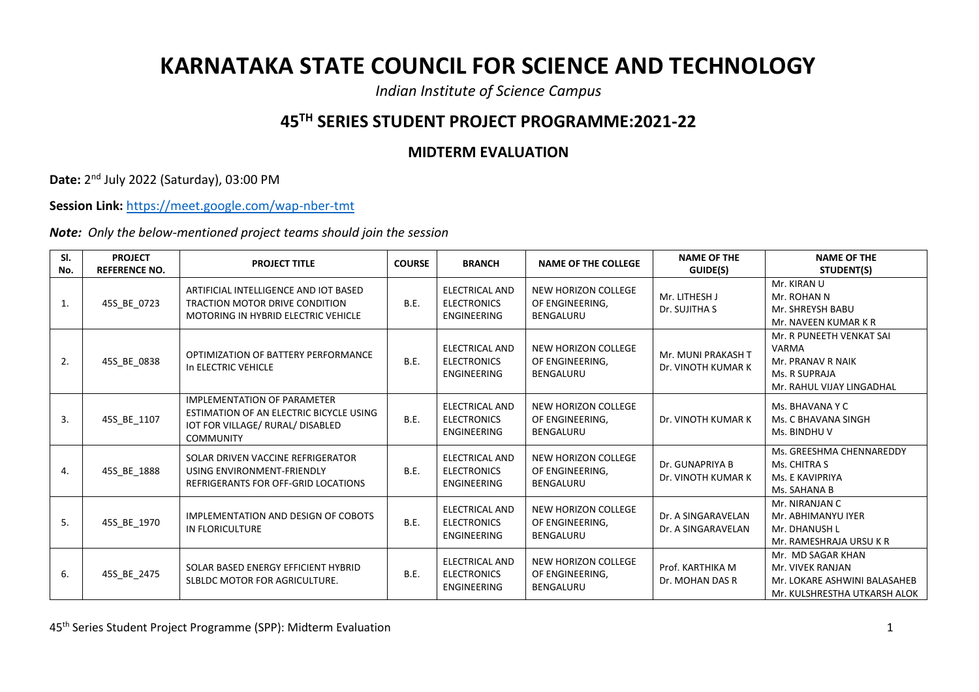## **KARNATAKA STATE COUNCIL FOR SCIENCE AND TECHNOLOGY**

*Indian Institute of Science Campus*

## **45TH SERIES STUDENT PROJECT PROGRAMME:2021-22**

## **MIDTERM EVALUATION**

**Date:** 2 nd July 2022 (Saturday), 03:00 PM

**Session Link:** <https://meet.google.com/wap-nber-tmt>

*Note: Only the below-mentioned project teams should join the session*

| SI.<br>No. | <b>PROJECT</b><br><b>REFERENCE NO.</b> | <b>PROJECT TITLE</b>                                                                                                                  | <b>COURSE</b> | <b>BRANCH</b>                                                     | <b>NAME OF THE COLLEGE</b>                                 | <b>NAME OF THE</b><br>GUIDE(S)           | <b>NAME OF THE</b><br>STUDENT(S)                                                                      |
|------------|----------------------------------------|---------------------------------------------------------------------------------------------------------------------------------------|---------------|-------------------------------------------------------------------|------------------------------------------------------------|------------------------------------------|-------------------------------------------------------------------------------------------------------|
| 1.         | 45S_BE_0723                            | ARTIFICIAL INTELLIGENCE AND IOT BASED<br>TRACTION MOTOR DRIVE CONDITION<br><b>MOTORING IN HYBRID ELECTRIC VEHICLE</b>                 | B.E.          | <b>ELECTRICAL AND</b><br><b>ELECTRONICS</b><br><b>ENGINEERING</b> | NEW HORIZON COLLEGE<br>OF ENGINEERING,<br><b>BENGALURU</b> | Mr. LITHESH J<br>Dr. SUJITHA S           | Mr. KIRAN U<br>Mr. ROHAN N<br>Mr. SHREYSH BABU<br>Mr. NAVEEN KUMAR K R                                |
| 2.         | 45S_BE_0838                            | OPTIMIZATION OF BATTERY PERFORMANCE<br>In ELECTRIC VEHICLE                                                                            | B.E.          | <b>ELECTRICAL AND</b><br><b>ELECTRONICS</b><br><b>ENGINEERING</b> | NEW HORIZON COLLEGE<br>OF ENGINEERING,<br><b>BENGALURU</b> | Mr. MUNI PRAKASH T<br>Dr. VINOTH KUMAR K | Mr. R PUNEETH VENKAT SAI<br>VARMA<br>Mr. PRANAV R NAIK<br>Ms. R SUPRAJA<br>Mr. RAHUL VIJAY LINGADHAL  |
| 3.         | 45S_BE_1107                            | <b>IMPLEMENTATION OF PARAMETER</b><br>ESTIMATION OF AN ELECTRIC BICYCLE USING<br>IOT FOR VILLAGE/ RURAL/ DISABLED<br><b>COMMUNITY</b> | <b>B.E.</b>   | ELECTRICAL AND<br><b>ELECTRONICS</b><br><b>ENGINEERING</b>        | NEW HORIZON COLLEGE<br>OF ENGINEERING,<br>BENGALURU        | Dr. VINOTH KUMAR K                       | Ms. BHAVANA Y C<br>Ms. C BHAVANA SINGH<br>Ms. BINDHU V                                                |
| 4.         | 45S BE 1888                            | SOLAR DRIVEN VACCINE REFRIGERATOR<br>USING ENVIRONMENT-FRIENDLY<br>REFRIGERANTS FOR OFF-GRID LOCATIONS                                | B.E.          | <b>ELECTRICAL AND</b><br><b>ELECTRONICS</b><br><b>ENGINEERING</b> | NEW HORIZON COLLEGE<br>OF ENGINEERING,<br><b>BENGALURU</b> | Dr. GUNAPRIYA B<br>Dr. VINOTH KUMAR K    | Ms. GREESHMA CHENNAREDDY<br>Ms. CHITRA S<br>Ms. E KAVIPRIYA<br>Ms. SAHANA B                           |
| 5.         | 45S_BE_1970                            | IMPLEMENTATION AND DESIGN OF COBOTS<br>IN FLORICULTURE                                                                                | <b>B.E.</b>   | <b>ELECTRICAL AND</b><br><b>ELECTRONICS</b><br><b>ENGINEERING</b> | NEW HORIZON COLLEGE<br>OF ENGINEERING,<br><b>BENGALURU</b> | Dr. A SINGARAVELAN<br>Dr. A SINGARAVELAN | Mr. NIRANJAN C<br>Mr. ABHIMANYU IYER<br>Mr. DHANUSH L<br>Mr. RAMESHRAJA URSU K R                      |
| 6.         | 45S BE 2475                            | SOLAR BASED ENERGY EFFICIENT HYBRID<br>SLBLDC MOTOR FOR AGRICULTURE.                                                                  | <b>B.E.</b>   | <b>ELECTRICAL AND</b><br><b>ELECTRONICS</b><br><b>ENGINEERING</b> | NEW HORIZON COLLEGE<br>OF ENGINEERING,<br>BENGALURU        | Prof. KARTHIKA M<br>Dr. MOHAN DAS R      | Mr. MD SAGAR KHAN<br>Mr. VIVEK RANJAN<br>Mr. LOKARE ASHWINI BALASAHEB<br>Mr. KULSHRESTHA UTKARSH ALOK |